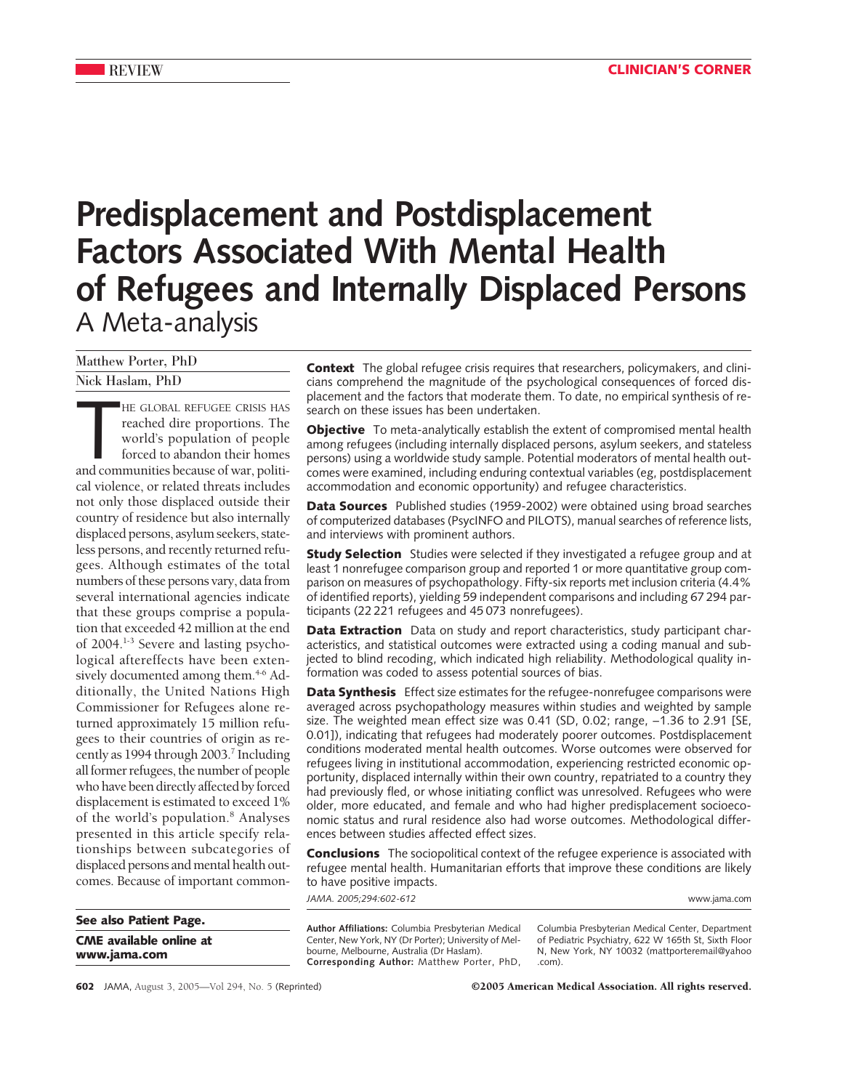# **Predisplacement and Postdisplacement Factors Associated With Mental Health of Refugees and Internally Displaced Persons** A Meta-analysis

Matthew Porter, PhD

Nick Haslam, PhD

HE GLOBAL REFUGEE CRISIS HAS<br>reached dire proportions. The<br>world's population of people<br>forced to abandon their homes<br>and communities because of war, politi-HE GLOBAL REFUGEE CRISIS HAS reached dire proportions. The world's population of people forced to abandon their homes cal violence, or related threats includes not only those displaced outside their country of residence but also internally displaced persons, asylum seekers, stateless persons, and recently returned refugees. Although estimates of the total numbers of these persons vary, data from several international agencies indicate that these groups comprise a population that exceeded 42 million at the end of 2004.1-3 Severe and lasting psychological aftereffects have been extensively documented among them.<sup>4-6</sup> Additionally, the United Nations High Commissioner for Refugees alone returned approximately 15 million refugees to their countries of origin as recently as 1994 through 2003.<sup>7</sup> Including all former refugees, the number of people who have been directly affected by forced displacement is estimated to exceed 1% of the world's population.<sup>8</sup> Analyses presented in this article specify relationships between subcategories of displaced persons and mental health outcomes. Because of important common-

**See also Patient Page. CME available online at www.jama.com**

**Context** The global refugee crisis requires that researchers, policymakers, and clinicians comprehend the magnitude of the psychological consequences of forced displacement and the factors that moderate them. To date, no empirical synthesis of research on these issues has been undertaken.

**Objective** To meta-analytically establish the extent of compromised mental health among refugees (including internally displaced persons, asylum seekers, and stateless persons) using a worldwide study sample. Potential moderators of mental health outcomes were examined, including enduring contextual variables (eg, postdisplacement accommodation and economic opportunity) and refugee characteristics.

**Data Sources** Published studies (1959-2002) were obtained using broad searches of computerized databases (PsycINFO and PILOTS), manual searches of reference lists, and interviews with prominent authors.

**Study Selection** Studies were selected if they investigated a refugee group and at least 1 nonrefugee comparison group and reported 1 or more quantitative group comparison on measures of psychopathology. Fifty-six reports met inclusion criteria (4.4% of identified reports), yielding 59 independent comparisons and including 67 294 participants (22 221 refugees and 45 073 nonrefugees).

**Data Extraction** Data on study and report characteristics, study participant characteristics, and statistical outcomes were extracted using a coding manual and subjected to blind recoding, which indicated high reliability. Methodological quality information was coded to assess potential sources of bias.

**Data Synthesis** Effect size estimates for the refugee-nonrefugee comparisons were averaged across psychopathology measures within studies and weighted by sample size. The weighted mean effect size was 0.41 (SD, 0.02; range, -1.36 to 2.91 [SE, 0.01]), indicating that refugees had moderately poorer outcomes. Postdisplacement conditions moderated mental health outcomes. Worse outcomes were observed for refugees living in institutional accommodation, experiencing restricted economic opportunity, displaced internally within their own country, repatriated to a country they had previously fled, or whose initiating conflict was unresolved. Refugees who were older, more educated, and female and who had higher predisplacement socioeconomic status and rural residence also had worse outcomes. Methodological differences between studies affected effect sizes.

**Conclusions** The sociopolitical context of the refugee experience is associated with refugee mental health. Humanitarian efforts that improve these conditions are likely to have positive impacts.

*JAMA. 2005;294:602-612* www.jama.com

**Author Affiliations:** Columbia Presbyterian Medical Center, New York, NY (Dr Porter); University of Melbourne, Melbourne, Australia (Dr Haslam). **Corresponding Author:** Matthew Porter, PhD,

Columbia Presbyterian Medical Center, Department of Pediatric Psychiatry, 622 W 165th St, Sixth Floor N, New York, NY 10032 (mattporteremail@yahoo .com).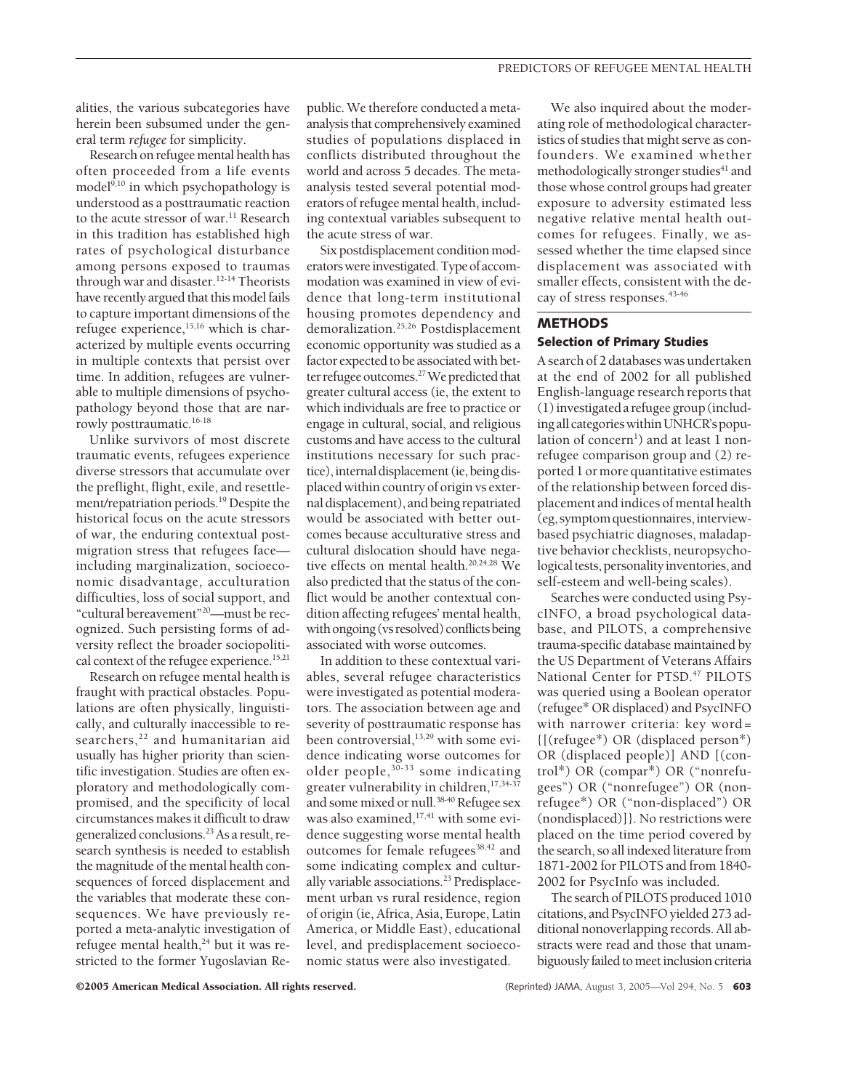alities, the various subcategories have herein been subsumed under the general term *refugee* for simplicity.

Research on refugee mental health has often proceeded from a life events model $9,10$  in which psychopathology is understood as a posttraumatic reaction to the acute stressor of war.<sup>11</sup> Research in this tradition has established high rates of psychological disturbance among persons exposed to traumas through war and disaster.12-14 Theorists have recently argued that this model fails to capture important dimensions of the refugee experience,<sup>15,16</sup> which is characterized by multiple events occurring in multiple contexts that persist over time. In addition, refugees are vulnerable to multiple dimensions of psychopathology beyond those that are narrowly posttraumatic.<sup>16-18</sup>

Unlike survivors of most discrete traumatic events, refugees experience diverse stressors that accumulate over the preflight, flight, exile, and resettlement/repatriation periods.19 Despite the historical focus on the acute stressors of war, the enduring contextual postmigration stress that refugees face including marginalization, socioeconomic disadvantage, acculturation difficulties, loss of social support, and "cultural bereavement"20—must be recognized. Such persisting forms of adversity reflect the broader sociopolitical context of the refugee experience.<sup>15,21</sup>

Research on refugee mental health is fraught with practical obstacles. Populations are often physically, linguistically, and culturally inaccessible to researchers,<sup>22</sup> and humanitarian aid usually has higher priority than scientific investigation. Studies are often exploratory and methodologically compromised, and the specificity of local circumstances makes it difficult to draw generalized conclusions.23As a result, research synthesis is needed to establish the magnitude of the mental health consequences of forced displacement and the variables that moderate these consequences. We have previously reported a meta-analytic investigation of refugee mental health,<sup>24</sup> but it was restricted to the former Yugoslavian Republic. We therefore conducted a metaanalysis that comprehensively examined studies of populations displaced in conflicts distributed throughout the world and across 5 decades. The metaanalysis tested several potential moderators of refugee mental health, including contextual variables subsequent to the acute stress of war.

Six postdisplacement condition moderators were investigated. Type of accommodation was examined in view of evidence that long-term institutional housing promotes dependency and demoralization.25,26 Postdisplacement economic opportunity was studied as a factor expected to be associated with better refugee outcomes.<sup>27</sup> We predicted that greater cultural access (ie, the extent to which individuals are free to practice or engage in cultural, social, and religious customs and have access to the cultural institutions necessary for such practice), internal displacement (ie, being displaced within country of origin vs external displacement), and being repatriated would be associated with better outcomes because acculturative stress and cultural dislocation should have negative effects on mental health.<sup>20,24,28</sup> We also predicted that the status of the conflict would be another contextual condition affecting refugees' mental health, with ongoing (vs resolved) conflicts being associated with worse outcomes.

In addition to these contextual variables, several refugee characteristics were investigated as potential moderators. The association between age and severity of posttraumatic response has been controversial,<sup>13,29</sup> with some evidence indicating worse outcomes for older people,  $30-33$  some indicating greater vulnerability in children,<sup>17,34-37</sup> and some mixed or null.<sup>38-40</sup> Refugee sex was also examined, $17,41$  with some evidence suggesting worse mental health outcomes for female refugees<sup>38,42</sup> and some indicating complex and culturally variable associations.<sup>23</sup> Predisplacement urban vs rural residence, region of origin (ie, Africa, Asia, Europe, Latin America, or Middle East), educational level, and predisplacement socioeconomic status were also investigated.

We also inquired about the moderating role of methodological characteristics of studies that might serve as confounders. We examined whether methodologically stronger studies<sup>41</sup> and those whose control groups had greater exposure to adversity estimated less negative relative mental health outcomes for refugees. Finally, we assessed whether the time elapsed since displacement was associated with smaller effects, consistent with the decay of stress responses.<sup>43-46</sup>

## **METHODS Selection of Primary Studies**

A search of 2 databases was undertaken at the end of 2002 for all published English-language research reports that (1)investigatedarefugeegroup(including all categories within UNHCR's population of concern<sup>1</sup>) and at least 1 nonrefugee comparison group and (2) reported 1 or more quantitative estimates of the relationship between forced displacement and indices of mental health (eg,symptomquestionnaires,interviewbased psychiatric diagnoses, maladaptive behavior checklists, neuropsychological tests, personality inventories, and self-esteem and well-being scales).

Searches were conducted using PsycINFO, a broad psychological database, and PILOTS, a comprehensive trauma-specific database maintained by the US Department of Veterans Affairs National Center for PTSD.<sup>47</sup> PILOTS was queried using a Boolean operator (refugee\* OR displaced) and PsycINFO with narrower criteria: key word= {[(refugee\*) OR (displaced person\*) OR (displaced people)] AND [(control\*) OR (compar\*) OR ("nonrefugees") OR ("nonrefugee") OR (nonrefugee\*) OR ("non-displaced") OR (nondisplaced)]}. No restrictions were placed on the time period covered by the search, so all indexed literature from 1871-2002 for PILOTS and from 1840- 2002 for PsycInfo was included.

The search of PILOTS produced 1010 citations, and PsycINFO yielded 273 additional nonoverlapping records. All abstracts were read and those that unambiguously failed to meet inclusion criteria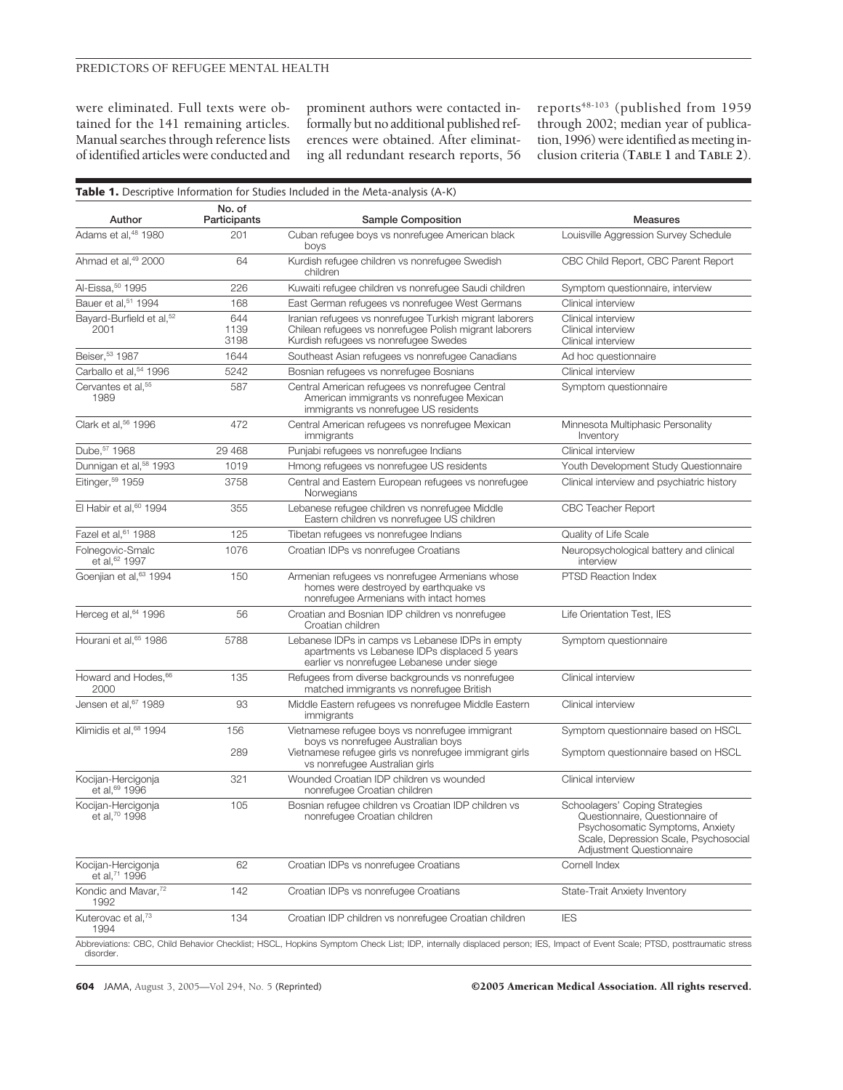### PREDICTORS OF REFUGEE MENTAL HEALTH

were eliminated. Full texts were obtained for the 141 remaining articles. Manual searches through reference lists of identified articles were conducted and

prominent authors were contacted informally but no additional published references were obtained. After eliminating all redundant research reports, 56

reports<sup>48-103</sup> (published from 1959 through 2002; median year of publication, 1996) were identified as meeting inclusion criteria (**TABLE 1** and **TABLE 2**).

| Author                                       | No. of<br>Participants | Sample Composition                                                                                                                                         | <b>Measures</b>                                                                                                                                                           |
|----------------------------------------------|------------------------|------------------------------------------------------------------------------------------------------------------------------------------------------------|---------------------------------------------------------------------------------------------------------------------------------------------------------------------------|
| Adams et al, <sup>48</sup> 1980              | 201                    | Cuban refugee boys vs nonrefugee American black<br>boys                                                                                                    | Louisville Aggression Survey Schedule                                                                                                                                     |
| Ahmad et al, <sup>49</sup> 2000              | 64                     | Kurdish refugee children vs nonrefugee Swedish<br>children                                                                                                 | CBC Child Report, CBC Parent Report                                                                                                                                       |
| Al-Eissa, 50 1995                            | 226                    | Kuwaiti refugee children vs nonrefugee Saudi children                                                                                                      | Symptom questionnaire, interview                                                                                                                                          |
| Bauer et al, 51 1994                         | 168                    | East German refugees vs nonrefugee West Germans                                                                                                            | Clinical interview                                                                                                                                                        |
| Bayard-Burfield et al, <sup>52</sup><br>2001 | 644<br>1139<br>3198    | Iranian refugees vs nonrefugee Turkish migrant laborers<br>Chilean refugees vs nonrefugee Polish migrant laborers<br>Kurdish refugees vs nonrefugee Swedes | Clinical interview<br>Clinical interview<br>Clinical interview                                                                                                            |
| Beiser, 53 1987                              | 1644                   | Southeast Asian refugees vs nonrefugee Canadians                                                                                                           | Ad hoc questionnaire                                                                                                                                                      |
| Carballo et al, 54 1996                      | 5242                   | Bosnian refugees vs nonrefugee Bosnians                                                                                                                    | Clinical interview                                                                                                                                                        |
| Cervantes et al, <sup>55</sup><br>1989       | 587                    | Central American refugees vs nonrefugee Central<br>American immigrants vs nonrefugee Mexican<br>immigrants vs nonrefugee US residents                      | Symptom questionnaire                                                                                                                                                     |
| Clark et al, 56 1996                         | 472                    | Central American refugees vs nonrefugee Mexican<br>immigrants                                                                                              | Minnesota Multiphasic Personality<br>Inventory                                                                                                                            |
| Dube, 57 1968                                | 29 4 68                | Punjabi refugees vs nonrefugee Indians                                                                                                                     | Clinical interview                                                                                                                                                        |
| Dunnigan et al, <sup>58</sup> 1993           | 1019                   | Hmong refugees vs nonrefugee US residents                                                                                                                  | Youth Development Study Questionnaire                                                                                                                                     |
| Eitinger, <sup>59</sup> 1959                 | 3758                   | Central and Eastern European refugees vs nonrefugee<br>Norwegians                                                                                          | Clinical interview and psychiatric history                                                                                                                                |
| El Habir et al, <sup>60</sup> 1994           | 355                    | Lebanese refugee children vs nonrefugee Middle<br>Eastern children vs nonrefugee US children                                                               | <b>CBC Teacher Report</b>                                                                                                                                                 |
| Fazel et al, 61 1988                         | 125                    | Tibetan refugees vs nonrefugee Indians                                                                                                                     | Quality of Life Scale                                                                                                                                                     |
| Folnegovic-Smalc<br>et al, 62 1997           | 1076                   | Croatian IDPs vs nonrefugee Croatians                                                                                                                      | Neuropsychological battery and clinical<br>interview                                                                                                                      |
| Goenjian et al, <sup>63</sup> 1994           | 150                    | Armenian refugees vs nonrefugee Armenians whose<br>homes were destroyed by earthquake vs<br>nonrefugee Armenians with intact homes                         | <b>PTSD Reaction Index</b>                                                                                                                                                |
| Herceg et al, 64 1996                        | 56                     | Croatian and Bosnian IDP children vs nonrefugee<br>Croatian children                                                                                       | Life Orientation Test, IES                                                                                                                                                |
| Hourani et al, 65 1986                       | 5788                   | Lebanese IDPs in camps vs Lebanese IDPs in empty<br>apartments vs Lebanese IDPs displaced 5 years<br>earlier vs nonrefugee Lebanese under siege            | Symptom questionnaire                                                                                                                                                     |
| Howard and Hodes, 66<br>2000                 | 135                    | Refugees from diverse backgrounds vs nonrefugee<br>matched immigrants vs nonrefugee British                                                                | Clinical interview                                                                                                                                                        |
| Jensen et al, 67 1989                        | 93                     | Middle Eastern refugees vs nonrefugee Middle Eastern<br>immigrants                                                                                         | Clinical interview                                                                                                                                                        |
| Klimidis et al, 68 1994                      | 156                    | Vietnamese refugee boys vs nonrefugee immigrant                                                                                                            | Symptom questionnaire based on HSCL                                                                                                                                       |
|                                              | 289                    | boys vs nonrefugee Australian boys<br>Vietnamese refugee girls vs nonrefugee immigrant girls<br>vs nonrefugee Australian girls                             | Symptom questionnaire based on HSCL                                                                                                                                       |
| Kocijan-Hercigonja<br>et al, 69 1996         | 321                    | Wounded Croatian IDP children vs wounded<br>nonrefugee Croatian children                                                                                   | Clinical interview                                                                                                                                                        |
| Kocijan-Hercigonja<br>et al, 70 1998         | 105                    | Bosnian refugee children vs Croatian IDP children vs<br>nonrefugee Croatian children                                                                       | Schoolagers' Coping Strategies<br>Questionnaire, Questionnaire of<br>Psychosomatic Symptoms, Anxiety<br>Scale, Depression Scale, Psychosocial<br>Adjustment Questionnaire |
| Kocijan-Hercigonja<br>et al, 71 1996         | 62                     | Croatian IDPs vs nonrefugee Croatians                                                                                                                      | Cornell Index                                                                                                                                                             |
| Kondic and Mavar. <sup>72</sup><br>1992      | 142                    | Croatian IDPs vs nonrefugee Croatians                                                                                                                      | State-Trait Anxiety Inventory                                                                                                                                             |
| Kuterovac et al,73<br>1994                   | 134                    | Croatian IDP children vs nonrefugee Croatian children                                                                                                      | <b>IES</b>                                                                                                                                                                |

disorder.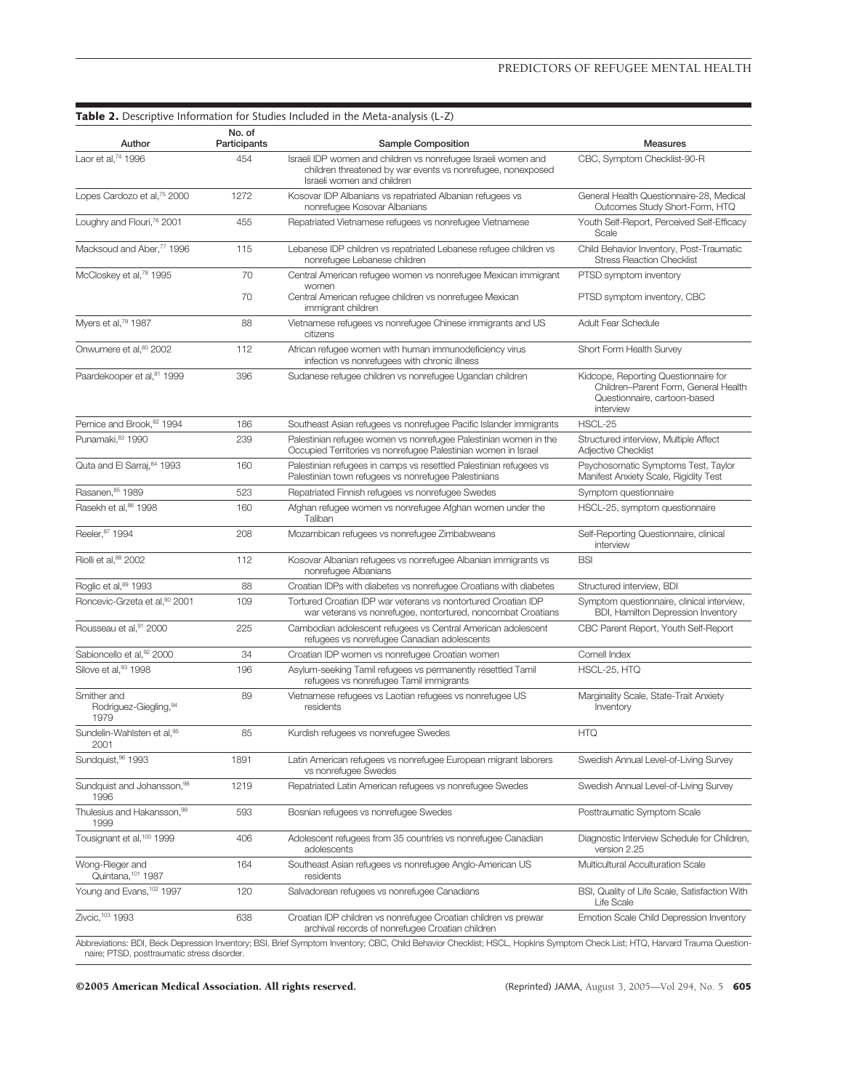| Author                                         | No. of<br>Participants | Sample Composition                                                                                                                                          | <b>Measures</b>                                                                                                           |
|------------------------------------------------|------------------------|-------------------------------------------------------------------------------------------------------------------------------------------------------------|---------------------------------------------------------------------------------------------------------------------------|
| Laor et al. <sup>74</sup> 1996                 | 454                    | Israeli IDP women and children vs nonrefugee Israeli women and<br>children threatened by war events vs nonrefugee, nonexposed<br>Israeli women and children | CBC, Symptom Checklist-90-R                                                                                               |
| Lopes Cardozo et al, <sup>75</sup> 2000        | 1272                   | Kosovar IDP Albanians vs repatriated Albanian refugees vs<br>nonrefugee Kosovar Albanians                                                                   | General Health Questionnaire-28, Medical<br>Outcomes Study Short-Form, HTQ                                                |
| Loughry and Flouri, <sup>76</sup> 2001         | 455                    | Repatriated Vietnamese refugees vs nonrefugee Vietnamese                                                                                                    | Youth Self-Report, Perceived Self-Efficacy<br>Scale                                                                       |
| Macksoud and Aber, <sup>77</sup> 1996          | 115                    | Lebanese IDP children vs repatriated Lebanese refugee children vs<br>nonrefugee Lebanese children                                                           | Child Behavior Inventory, Post-Traumatic<br><b>Stress Reaction Checklist</b>                                              |
| McCloskey et al, <sup>78</sup> 1995            | 70<br>70               | Central American refugee women vs nonrefugee Mexican immigrant<br>women<br>Central American refugee children vs nonrefugee Mexican                          | PTSD symptom inventory<br>PTSD symptom inventory, CBC                                                                     |
| Myers et al, <sup>79</sup> 1987                | 88                     | immigrant children<br>Vietnamese refugees vs nonrefugee Chinese immigrants and US<br>citizens                                                               | <b>Adult Fear Schedule</b>                                                                                                |
| Onwumere et al, 80 2002                        | 112                    | African refugee women with human immunodeficiency virus<br>infection vs nonrefugees with chronic illness                                                    | Short Form Health Survey                                                                                                  |
| Paardekooper et al, <sup>81</sup> 1999         | 396                    | Sudanese refugee children vs nonrefugee Ugandan children                                                                                                    | Kidcope, Reporting Questionnaire for<br>Children-Parent Form, General Health<br>Questionnaire, cartoon-based<br>interview |
| Pernice and Brook, 82 1994                     | 186                    | Southeast Asian refugees vs nonrefugee Pacific Islander immigrants                                                                                          | HSCL-25                                                                                                                   |
| Punamaki, 83 1990                              | 239                    | Palestinian refugee women vs nonrefugee Palestinian women in the<br>Occupied Territories vs nonrefugee Palestinian women in Israel                          | Structured interview, Multiple Affect<br>Adjective Checklist                                                              |
| Quta and El Sarraj, 84 1993                    | 160                    | Palestinian refugees in camps vs resettled Palestinian refugees vs<br>Palestinian town refugees vs nonrefugee Palestinians                                  | Psychosomatic Symptoms Test, Taylor<br>Manifest Anxiety Scale, Rigidity Test                                              |
| Rasanen, 85 1989                               | 523                    | Repatriated Finnish refugees vs nonrefugee Swedes                                                                                                           | Symptom questionnaire                                                                                                     |
| Rasekh et al, <sup>86</sup> 1998               | 160                    | Afghan refugee women vs nonrefugee Afghan women under the<br>Taliban                                                                                        | HSCL-25, symptom questionnaire                                                                                            |
| Reeler, 87 1994                                | 208                    | Mozambican refugees vs nonrefugee Zimbabweans                                                                                                               | Self-Reporting Questionnaire, clinical<br>interview                                                                       |
| Riolli et al, 88 2002                          | 112                    | Kosovar Albanian refugees vs nonrefugee Albanian immigrants vs<br>nonrefugee Albanians                                                                      | <b>BSI</b>                                                                                                                |
| Roglic et al, 89 1993                          | 88                     | Croatian IDPs with diabetes vs nonrefugee Croatians with diabetes                                                                                           | Structured interview, BDI                                                                                                 |
| Roncevic-Grzeta et al, <sup>90</sup> 2001      | 109                    | Tortured Croatian IDP war veterans vs nontortured Croatian IDP<br>war veterans vs nonrefugee, nontortured, noncombat Croatians                              | Symptom questionnaire, clinical interview,<br>BDI, Hamilton Depression Inventory                                          |
| Rousseau et al, <sup>91</sup> 2000             | 225                    | Cambodian adolescent refugees vs Central American adolescent<br>refugees vs nonrefugee Canadian adolescents                                                 | CBC Parent Report, Youth Self-Report                                                                                      |
| Sabioncello et al, 92 2000                     | 34                     | Croatian IDP women vs nonrefugee Croatian women                                                                                                             | Cornell Index                                                                                                             |
| Silove et al, 93 1998                          | 196                    | Asylum-seeking Tamil refugees vs permanently resettled Tamil<br>refugees vs nonrefugee Tamil immigrants                                                     | HSCL-25, HTQ                                                                                                              |
| Smither and<br>Rodriguez-Giegling, 94<br>1979  | 89                     | Vietnamese refugees vs Laotian refugees vs nonrefugee US<br>residents                                                                                       | Marginality Scale, State-Trait Anxiety<br>Inventory                                                                       |
| Sundelin-Wahlsten et al, 95<br>2001            | 85                     | Kurdish refugees vs nonrefugee Swedes                                                                                                                       | <b>HTQ</b>                                                                                                                |
| Sundquist, 96 1993                             | 1891                   | Latin American refugees vs nonrefugee European migrant laborers<br>vs nonrefugee Swedes                                                                     | Swedish Annual Level-of-Living Survey                                                                                     |
| Sundquist and Johansson, 98<br>1996            | 1219                   | Repatriated Latin American refugees vs nonrefugee Swedes                                                                                                    | Swedish Annual Level-of-Living Survey                                                                                     |
| Thulesius and Hakansson, <sup>99</sup><br>1999 | 593                    | Bosnian refugees vs nonrefugee Swedes                                                                                                                       | Posttraumatic Symptom Scale                                                                                               |
| Tousignant et al, <sup>100</sup> 1999          | 406                    | Adolescent refugees from 35 countries vs nonrefugee Canadian<br>adolescents                                                                                 | Diagnostic Interview Schedule for Children,<br>version 2.25                                                               |
| Wong-Rieger and<br>Quintana, 101 1987          | 164                    | Southeast Asian refugees vs nonrefugee Anglo-American US<br>residents                                                                                       | Multicultural Acculturation Scale                                                                                         |
| Young and Evans, 102 1997                      | 120                    | Salvadorean refugees vs nonrefugee Canadians                                                                                                                | BSI, Quality of Life Scale, Satisfaction With<br>Life Scale                                                               |
| Zivcic, 103 1993                               | 638                    | Croatian IDP children vs nonrefugee Croatian children vs prewar<br>archival records of nonrefugee Croatian children                                         | Emotion Scale Child Depression Inventory                                                                                  |

سمار تاریخی المعده العربی العالم العربی المعده العربی العربی العالم<br>naire; PTSD, posttraumatic stress disorder.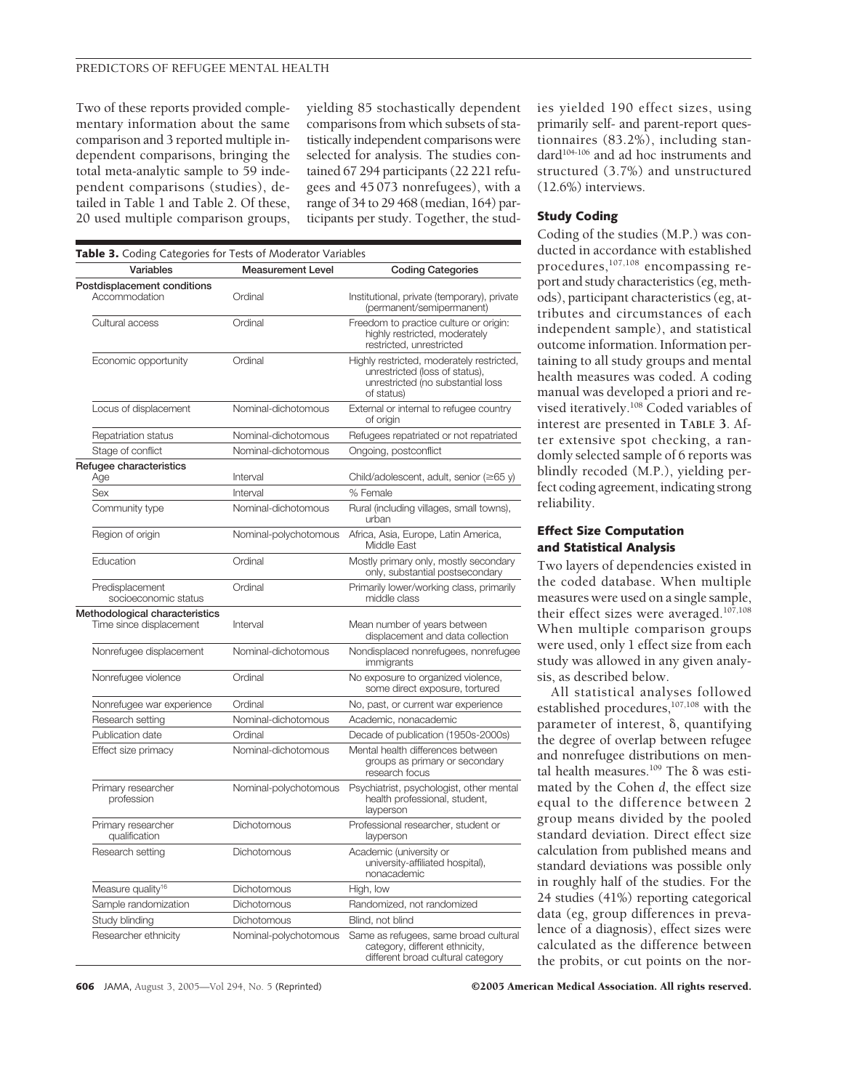#### PREDICTORS OF REFUGEE MENTAL HEALTH

Two of these reports provided complementary information about the same comparison and 3 reported multiple independent comparisons, bringing the total meta-analytic sample to 59 independent comparisons (studies), detailed in Table 1 and Table 2. Of these, 20 used multiple comparison groups,

yielding 85 stochastically dependent comparisons from which subsets of statistically independent comparisons were selected for analysis. The studies contained 67 294 participants (22 221 refugees and 45 073 nonrefugees), with a range of 34 to 29 468 (median, 164) participants per study. Together, the stud-

| Table 3. Coding Categories for Tests of Moderator Variables |                          |                                                                                                                                |
|-------------------------------------------------------------|--------------------------|--------------------------------------------------------------------------------------------------------------------------------|
| Variables                                                   | <b>Measurement Level</b> | <b>Coding Categories</b>                                                                                                       |
| Postdisplacement conditions<br>Accommodation                | Ordinal                  | Institutional, private (temporary), private<br>(permanent/semipermanent)                                                       |
| Cultural access                                             | Ordinal                  | Freedom to practice culture or origin:<br>highly restricted, moderately<br>restricted, unrestricted                            |
| Economic opportunity                                        | Ordinal                  | Highly restricted, moderately restricted,<br>unrestricted (loss of status),<br>unrestricted (no substantial loss<br>of status) |
| Locus of displacement                                       | Nominal-dichotomous      | External or internal to refugee country<br>of origin                                                                           |
| Repatriation status                                         | Nominal-dichotomous      | Refugees repatriated or not repatriated                                                                                        |
| Stage of conflict                                           | Nominal-dichotomous      | Ongoing, postconflict                                                                                                          |
| Refugee characteristics<br>Age                              | Interval                 | Child/adolescent, adult, senior $(\geq 65 y)$                                                                                  |
| Sex                                                         | Interval                 | % Female                                                                                                                       |
| Community type                                              | Nominal-dichotomous      | Rural (including villages, small towns),<br>urban                                                                              |
| Region of origin                                            | Nominal-polychotomous    | Africa, Asia, Europe, Latin America,<br>Middle East                                                                            |
| Education                                                   | Ordinal                  | Mostly primary only, mostly secondary<br>only, substantial postsecondary                                                       |
| Predisplacement<br>socioeconomic status                     | Ordinal                  | Primarily lower/working class, primarily<br>middle class                                                                       |
| Methodological characteristics<br>Time since displacement   | Interval                 | Mean number of years between<br>displacement and data collection                                                               |
| Nonrefugee displacement                                     | Nominal-dichotomous      | Nondisplaced nonrefugees, nonrefugee<br>immigrants                                                                             |
| Nonrefugee violence                                         | Ordinal                  | No exposure to organized violence,<br>some direct exposure, tortured                                                           |
| Nonrefugee war experience                                   | Ordinal                  | No, past, or current war experience                                                                                            |
| Research setting                                            | Nominal-dichotomous      | Academic, nonacademic                                                                                                          |
| Publication date                                            | Ordinal                  | Decade of publication (1950s-2000s)                                                                                            |
| Effect size primacy                                         | Nominal-dichotomous      | Mental health differences between<br>groups as primary or secondary<br>research focus                                          |
| Primary researcher<br>profession                            | Nominal-polychotomous    | Psychiatrist, psychologist, other mental<br>health professional, student,<br>layperson                                         |
| Primary researcher<br>qualification                         | Dichotomous              | Professional researcher, student or<br>layperson                                                                               |
| Research setting                                            | Dichotomous              | Academic (university or<br>university-affiliated hospital),<br>nonacademic                                                     |
| Measure quality <sup>16</sup>                               | <b>Dichotomous</b>       | High, low                                                                                                                      |
| Sample randomization                                        | Dichotomous              | Randomized, not randomized                                                                                                     |
| Study blinding                                              | <b>Dichotomous</b>       | Blind, not blind                                                                                                               |
| Researcher ethnicity                                        | Nominal-polychotomous    | Same as refugees, same broad cultural<br>category, different ethnicity,<br>different broad cultural category                   |

ies yielded 190 effect sizes, using primarily self- and parent-report questionnaires (83.2%), including standard<sup>104-106</sup> and ad hoc instruments and structured (3.7%) and unstructured (12.6%) interviews.

#### **Study Coding**

Coding of the studies (M.P.) was conducted in accordance with established procedures,107,108 encompassing report and study characteristics (eg, methods), participant characteristics (eg, attributes and circumstances of each independent sample), and statistical outcome information. Information pertaining to all study groups and mental health measures was coded. A coding manual was developed a priori and revised iteratively.108 Coded variables of interest are presented in **TABLE 3**. After extensive spot checking, a randomly selected sample of 6 reports was blindly recoded (M.P.), yielding perfect coding agreement, indicating strong reliability.

## **Effect Size Computation and Statistical Analysis**

Two layers of dependencies existed in the coded database. When multiple measures were used on a single sample, their effect sizes were averaged.107,108 When multiple comparison groups were used, only 1 effect size from each study was allowed in any given analysis, as described below.

All statistical analyses followed established procedures,<sup>107,108</sup> with the parameter of interest,  $\delta$ , quantifying the degree of overlap between refugee and nonrefugee distributions on mental health measures.<sup>109</sup> The  $\delta$  was estimated by the Cohen *d*, the effect size equal to the difference between 2 group means divided by the pooled standard deviation. Direct effect size calculation from published means and standard deviations was possible only in roughly half of the studies. For the 24 studies (41%) reporting categorical data (eg, group differences in prevalence of a diagnosis), effect sizes were calculated as the difference between the probits, or cut points on the nor-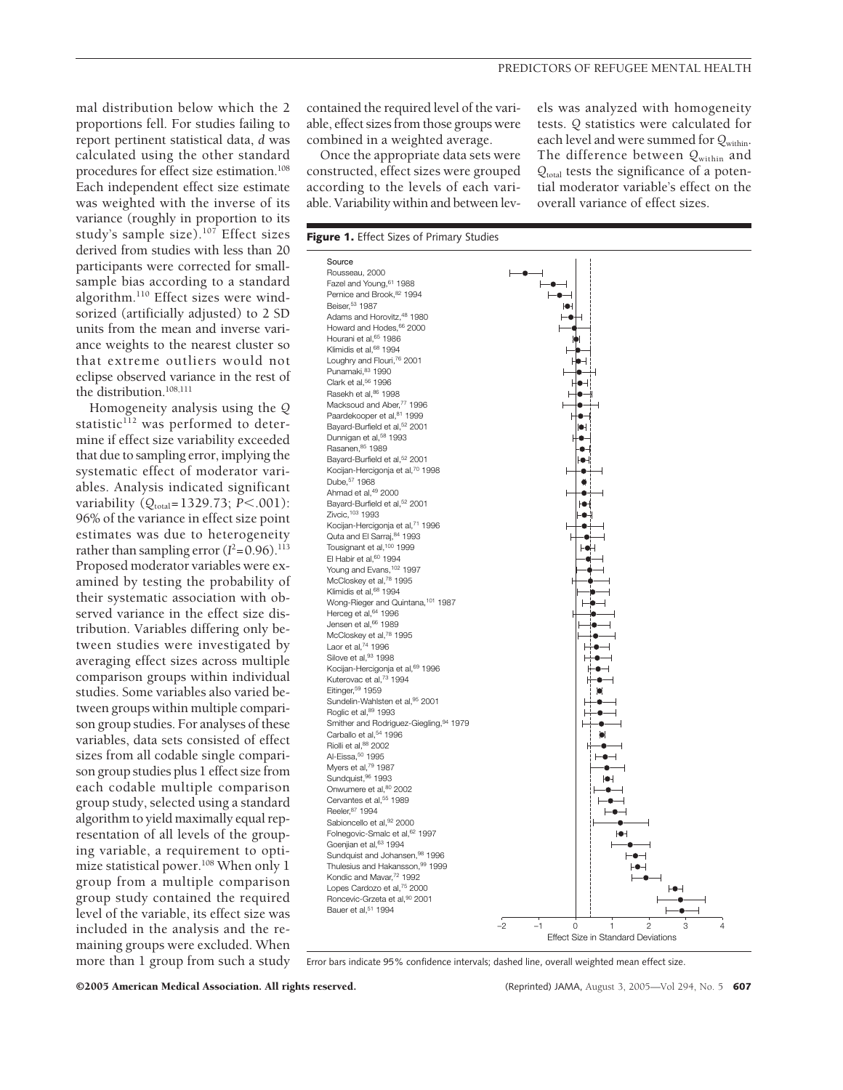mal distribution below which the 2 proportions fell. For studies failing to report pertinent statistical data, *d* was calculated using the other standard procedures for effect size estimation.108 Each independent effect size estimate was weighted with the inverse of its variance (roughly in proportion to its study's sample size).<sup>107</sup> Effect sizes derived from studies with less than 20 participants were corrected for smallsample bias according to a standard algorithm.110 Effect sizes were windsorized (artificially adjusted) to 2 SD units from the mean and inverse variance weights to the nearest cluster so that extreme outliers would not eclipse observed variance in the rest of the distribution.<sup>108,111</sup>

Homogeneity analysis using the *Q* statistic<sup>112</sup> was performed to determine if effect size variability exceeded that due to sampling error, implying the systematic effect of moderator variables. Analysis indicated significant variability ( $Q_{\text{total}}$ =1329.73; *P*<.001): 96% of the variance in effect size point estimates was due to heterogeneity rather than sampling error  $(I^2=0.96)$ .<sup>113</sup> Proposed moderator variables were examined by testing the probability of their systematic association with observed variance in the effect size distribution. Variables differing only between studies were investigated by averaging effect sizes across multiple comparison groups within individual studies. Some variables also varied between groups within multiple comparison group studies. For analyses of these variables, data sets consisted of effect sizes from all codable single comparison group studies plus 1 effect size from each codable multiple comparison group study, selected using a standard algorithm to yield maximally equal representation of all levels of the grouping variable, a requirement to optimize statistical power.<sup>108</sup> When only 1 group from a multiple comparison group study contained the required level of the variable, its effect size was included in the analysis and the remaining groups were excluded. When more than 1 group from such a study

contained the required level of the variable, effect sizes from those groups were combined in a weighted average.

Once the appropriate data sets were constructed, effect sizes were grouped according to the levels of each variable. Variability within and between lev-

els was analyzed with homogeneity tests. *Q* statistics were calculated for each level and were summed for  $Q_{within}$ . The difference between *Q*within and *Q*total tests the significance of a potential moderator variable's effect on the overall variance of effect sizes.



Error bars indicate 95% confidence intervals; dashed line, overall weighted mean effect size.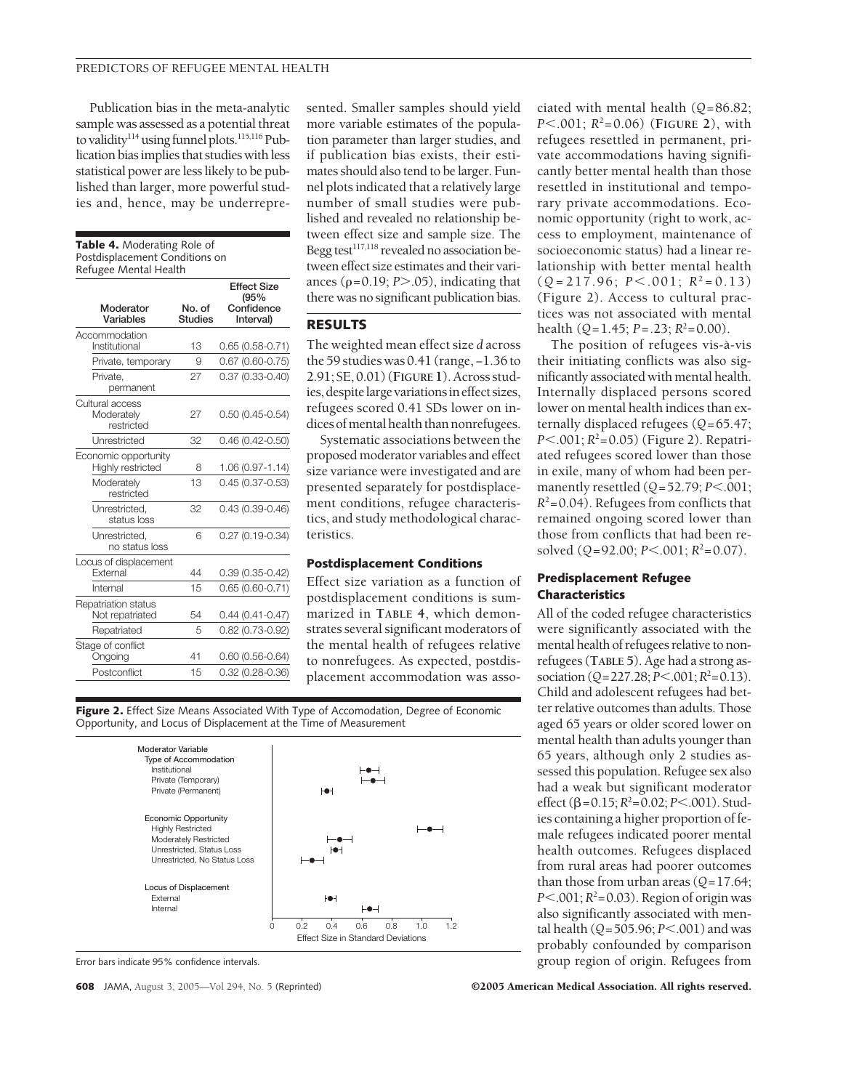Publication bias in the meta-analytic sample was assessed as a potential threat to validity<sup>114</sup> using funnel plots.<sup>115,116</sup> Publication bias implies that studies with less statistical power are less likely to be published than larger, more powerful studies and, hence, may be underrepre-

| <b>Table 4.</b> Moderating Role of<br>Postdisplacement Conditions on<br>Refugee Mental Health |                          |                            |  |
|-----------------------------------------------------------------------------------------------|--------------------------|----------------------------|--|
|                                                                                               |                          | <b>Effect Size</b><br>(95% |  |
| Moderator<br>Variables                                                                        | No. of<br><b>Studies</b> | Confidence<br>Interval)    |  |
| Accommodation<br>Institutional                                                                | 13                       | $0.65(0.58-0.71)$          |  |
| Private, temporary                                                                            | 9                        | $0.67$ (0.60-0.75)         |  |
| Private,<br>permanent                                                                         | 27                       | $0.37(0.33 - 0.40)$        |  |
| Cultural access<br>Moderately<br>restricted                                                   | 27                       | $0.50(0.45 - 0.54)$        |  |
| Unrestricted                                                                                  | 32                       | $0.46(0.42 - 0.50)$        |  |
| Economic opportunity<br>Highly restricted                                                     | 8                        | 1.06 (0.97-1.14)           |  |
| Moderately<br>restricted                                                                      | 13                       | $0.45(0.37 - 0.53)$        |  |
| Unrestricted,<br>status loss                                                                  | 32                       | $0.43(0.39 - 0.46)$        |  |
| Unrestricted.<br>no status loss                                                               | 6                        | $0.27(0.19 - 0.34)$        |  |
| Locus of displacement<br>External                                                             | 44                       | $0.39(0.35 - 0.42)$        |  |
| Internal                                                                                      | 15                       | $0.65(0.60 - 0.71)$        |  |
| Repatriation status<br>Not repatriated                                                        | 54                       | $0.44(0.41 - 0.47)$        |  |
| Repatriated                                                                                   | 5                        | $0.82(0.73 - 0.92)$        |  |
| Stage of conflict<br>Ongoing                                                                  | 41                       | $0.60(0.56 - 0.64)$        |  |
| Postconflict                                                                                  | 15                       | $0.32(0.28 - 0.36)$        |  |

sented. Smaller samples should yield more variable estimates of the population parameter than larger studies, and if publication bias exists, their estimates should also tend to be larger. Funnel plots indicated that a relatively large number of small studies were published and revealed no relationship between effect size and sample size. The Begg test $^{117,118}$  revealed no association between effect size estimates and their variances  $(\rho = 0.19; P > .05)$ , indicating that there was no significant publication bias.

## **RESULTS**

The weighted mean effect size *d* across the 59 studies was 0.41 (range, −1.36 to 2.91; SE, 0.01) (**FIGURE 1**). Across studies, despite large variations in effect sizes, refugees scored 0.41 SDs lower on indices of mental health than nonrefugees.

Systematic associations between the proposed moderator variables and effect size variance were investigated and are presented separately for postdisplacement conditions, refugee characteristics, and study methodological characteristics.

#### **Postdisplacement Conditions**

Effect size variation as a function of postdisplacement conditions is summarized in **TABLE 4**, which demonstrates several significant moderators of the mental health of refugees relative to nonrefugees. As expected, postdisplacement accommodation was asso-

Figure 2. Effect Size Means Associated With Type of Accomodation, Degree of Economic Opportunity, and Locus of Displacement at the Time of Measurement



Error bars indicate 95% confidence intervals.

ciated with mental health (*Q*=86.82; *P*.001; *R*<sup>2</sup> =0.06) (**FIGURE 2**), with refugees resettled in permanent, private accommodations having significantly better mental health than those resettled in institutional and temporary private accommodations. Economic opportunity (right to work, access to employment, maintenance of socioeconomic status) had a linear relationship with better mental health  $(Q=217.96; P<.001; R<sup>2</sup>=0.13)$ (Figure 2). Access to cultural practices was not associated with mental health  $(Q=1.45; P=.23; R^2=0.00)$ .

The position of refugees vis-à-vis their initiating conflicts was also significantly associated with mental health. Internally displaced persons scored lower on mental health indices than externally displaced refugees (*Q*=65.47; *P* $<$ .001; *R*<sup>2</sup>=0.05) (Figure 2). Repatriated refugees scored lower than those in exile, many of whom had been permanently resettled ( $Q = 52.79$ ; *P*.001;  $R^2$ =0.04). Refugees from conflicts that remained ongoing scored lower than those from conflicts that had been resolved  $(Q=92.00; P<.001; R^2=0.07)$ .

## **Predisplacement Refugee Characteristics**

All of the coded refugee characteristics were significantly associated with the mental health of refugees relative to nonrefugees (**TABLE 5**). Age had a strong association (*Q*=227.28; *P*<.001; *R*<sup>2</sup>=0.13). Child and adolescent refugees had better relative outcomes than adults. Those aged 65 years or older scored lower on mental health than adults younger than 65 years, although only 2 studies assessed this population. Refugee sex also had a weak but significant moderator effect ( $\beta$ =0.15;  $R^2$ =0.02; *P*<.001). Studies containing a higher proportion of female refugees indicated poorer mental health outcomes. Refugees displaced from rural areas had poorer outcomes than those from urban areas (*Q*=17.64; *P* $< 0.001; R^2 = 0.03$ . Region of origin was also significantly associated with mental health (*Q*=505.96; *P*.001) and was probably confounded by comparison group region of origin. Refugees from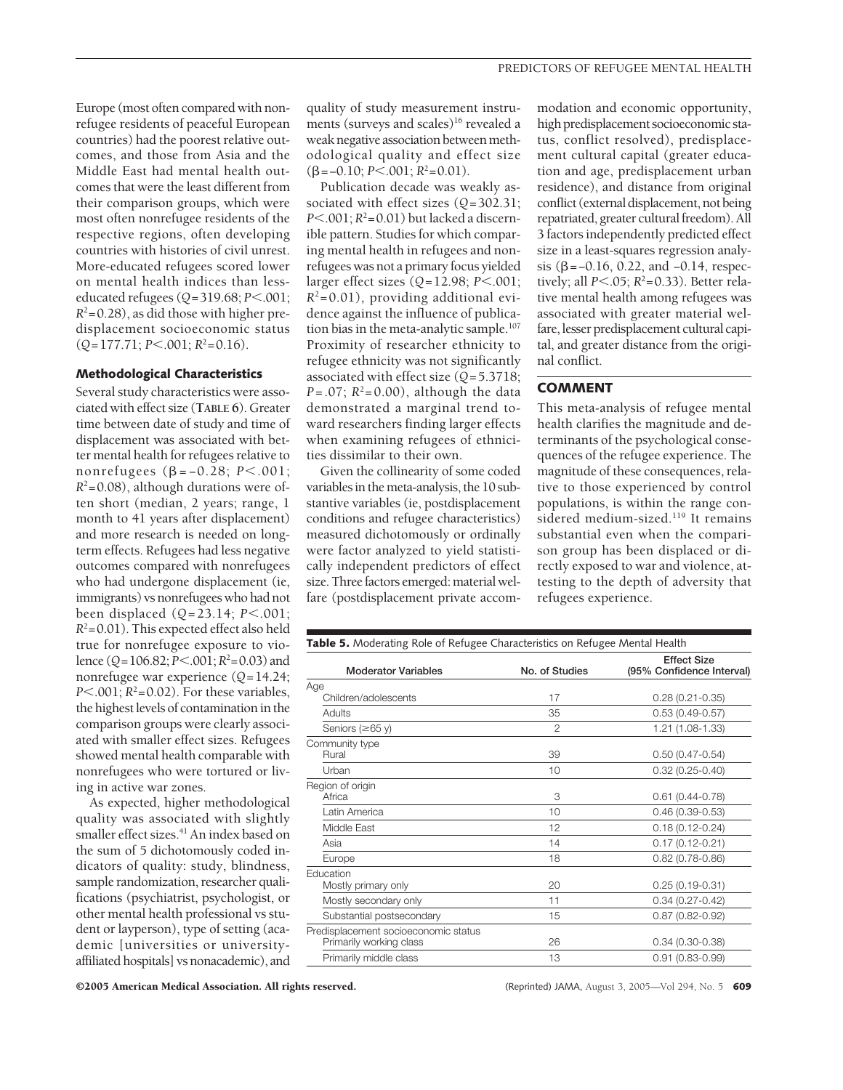Europe (most often compared with nonrefugee residents of peaceful European countries) had the poorest relative outcomes, and those from Asia and the Middle East had mental health outcomes that were the least different from their comparison groups, which were most often nonrefugee residents of the respective regions, often developing countries with histories of civil unrest. More-educated refugees scored lower on mental health indices than lesseducated refugees (*Q*=319.68; *P*.001;  $R^2$ =0.28), as did those with higher predisplacement socioeconomic status  $(Q=177.71; P<.001; R<sup>2</sup>=0.16).$ 

### **Methodological Characteristics**

Several study characteristics were associated with effect size (**TABLE 6**). Greater time between date of study and time of displacement was associated with better mental health for refugees relative to nonrefugees (β = -0.28; *P* <.001;  $R^2$ =0.08), although durations were often short (median, 2 years; range, 1 month to 41 years after displacement) and more research is needed on longterm effects. Refugees had less negative outcomes compared with nonrefugees who had undergone displacement (ie, immigrants) vs nonrefugees who had not been displaced (*Q*=23.14; *P*.001;  $R^2$ =0.01). This expected effect also held true for nonrefugee exposure to violence (*Q*=106.82; *P*.001;*R*<sup>2</sup> =0.03) and nonrefugee war experience (*Q*=14.24; *P* $<$ .001; *R*<sup>2</sup> $=$ 0.02). For these variables, the highest levels of contamination in the comparison groups were clearly associated with smaller effect sizes. Refugees showed mental health comparable with nonrefugees who were tortured or living in active war zones.

As expected, higher methodological quality was associated with slightly smaller effect sizes.<sup>41</sup> An index based on the sum of 5 dichotomously coded indicators of quality: study, blindness, sample randomization, researcher qualifications (psychiatrist, psychologist, or other mental health professional vs student or layperson), type of setting (academic [universities or universityaffiliated hospitals] vs nonacademic), and

quality of study measurement instruments (surveys and scales)<sup>16</sup> revealed a weak negative association between methodological quality and effect size  $(\beta = -0.10; P \le 0.001; R^2 = 0.01).$ 

Publication decade was weakly associated with effect sizes (*Q*=302.31; *P*.001; *R*2=0.01) but lacked a discernible pattern. Studies for which comparing mental health in refugees and nonrefugees was not a primary focus yielded larger effect sizes (*Q*=12.98; *P*.001;  $R^2$ =0.01), providing additional evidence against the influence of publication bias in the meta-analytic sample.<sup>107</sup> Proximity of researcher ethnicity to refugee ethnicity was not significantly associated with effect size (*Q*=5.3718; *P*=.07;  $R^2$ =0.00), although the data demonstrated a marginal trend toward researchers finding larger effects when examining refugees of ethnicities dissimilar to their own.

Given the collinearity of some coded variables in the meta-analysis, the 10 substantive variables (ie, postdisplacement conditions and refugee characteristics) measured dichotomously or ordinally were factor analyzed to yield statistically independent predictors of effect size. Three factors emerged: material welfare (postdisplacement private accom-

modation and economic opportunity, high predisplacement socioeconomic status, conflict resolved), predisplacement cultural capital (greater education and age, predisplacement urban residence), and distance from original conflict (external displacement, not being repatriated, greater cultural freedom). All 3 factors independently predicted effect size in a least-squares regression analysis ( $β = -0.16$ , 0.22, and  $-0.14$ , respectively; all  $P \le 0.05$ ;  $R^2 = 0.33$ ). Better relative mental health among refugees was associated with greater material welfare, lesser predisplacement cultural capital, and greater distance from the original conflict.

## **COMMENT**

This meta-analysis of refugee mental health clarifies the magnitude and determinants of the psychological consequences of the refugee experience. The magnitude of these consequences, relative to those experienced by control populations, is within the range considered medium-sized.<sup>119</sup> It remains substantial even when the comparison group has been displaced or directly exposed to war and violence, attesting to the depth of adversity that refugees experience.

| <b>Table 5.</b> Moderating Role of Refugee Characteristics on Refugee Mental Health |                |                                                 |
|-------------------------------------------------------------------------------------|----------------|-------------------------------------------------|
| <b>Moderator Variables</b>                                                          | No. of Studies | <b>Effect Size</b><br>(95% Confidence Interval) |
| Age                                                                                 |                |                                                 |
| Children/adolescents                                                                | 17             | $0.28(0.21 - 0.35)$                             |
| Adults                                                                              | 35             | $0.53(0.49 - 0.57)$                             |
| Seniors ( $\geq 65$ y)                                                              | $\overline{2}$ | 1.21 (1.08-1.33)                                |
| Community type<br>Rural                                                             | 39             | $0.50(0.47 - 0.54)$                             |
| Urban                                                                               | 10             | $0.32(0.25 - 0.40)$                             |
| Region of origin<br>Africa                                                          | 3              | $0.61$ (0.44-0.78)                              |
| Latin America                                                                       | 10             | $0.46(0.39 - 0.53)$                             |
| Middle East                                                                         | 12             | $0.18(0.12 - 0.24)$                             |
| Asia                                                                                | 14             | $0.17(0.12 - 0.21)$                             |
| Europe                                                                              | 18             | $0.82(0.78-0.86)$                               |
| Education<br>Mostly primary only                                                    | 20             | $0.25(0.19-0.31)$                               |
| Mostly secondary only                                                               | 11             | $0.34(0.27 - 0.42)$                             |
| Substantial postsecondary                                                           | 15             | $0.87(0.82 - 0.92)$                             |
| Predisplacement socioeconomic status<br>Primarily working class                     | 26             | $0.34(0.30 - 0.38)$                             |
| Primarily middle class                                                              | 13             | $0.91(0.83 - 0.99)$                             |
|                                                                                     |                |                                                 |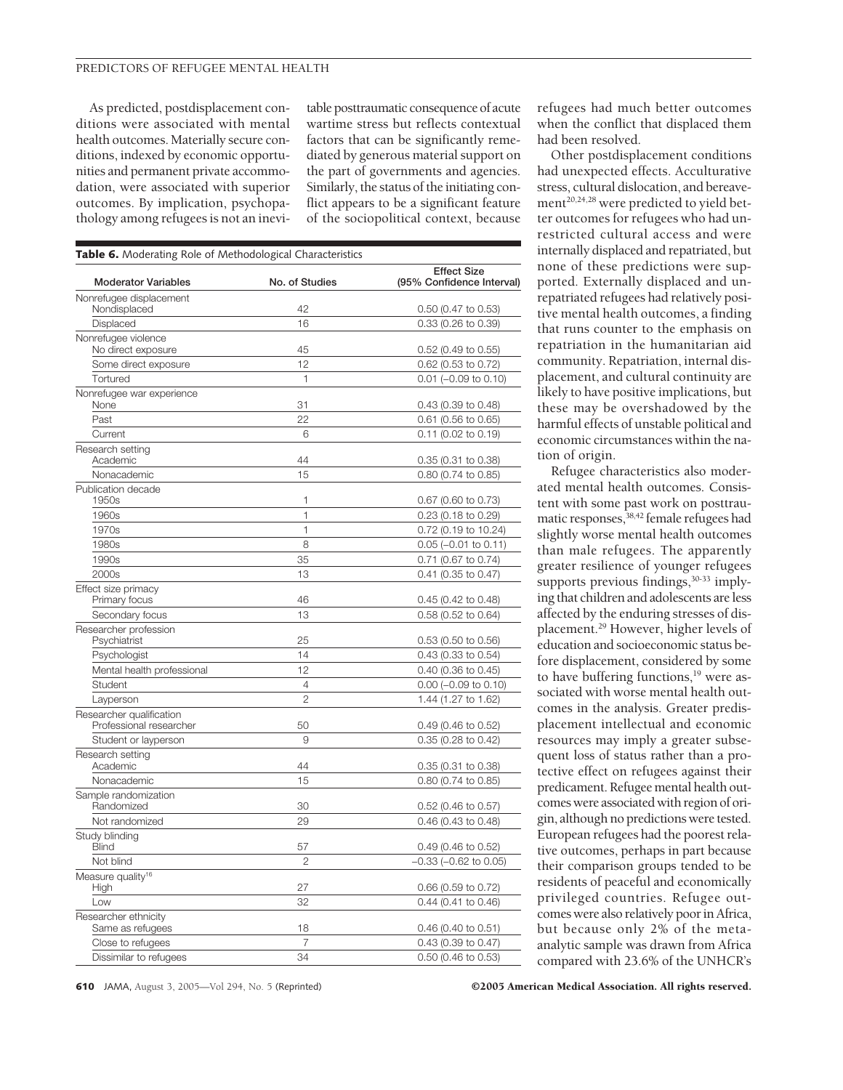As predicted, postdisplacement conditions were associated with mental health outcomes. Materially secure conditions, indexed by economic opportunities and permanent private accommodation, were associated with superior outcomes. By implication, psychopathology among refugees is not an inevitable posttraumatic consequence of acute wartime stress but reflects contextual factors that can be significantly remediated by generous material support on the part of governments and agencies. Similarly, the status of the initiating conflict appears to be a significant feature of the sociopolitical context, because

| Table 6. Moderating Role of Methodological Characteristics |                |                                                 |  |
|------------------------------------------------------------|----------------|-------------------------------------------------|--|
| <b>Moderator Variables</b>                                 | No. of Studies | <b>Effect Size</b><br>(95% Confidence Interval) |  |
| Nonrefugee displacement<br>Nondisplaced                    | 42             | 0.50 (0.47 to 0.53)                             |  |
| Displaced                                                  | 16             | 0.33 (0.26 to 0.39)                             |  |
| Nonrefugee violence                                        |                |                                                 |  |
| No direct exposure                                         | 45             | 0.52 (0.49 to 0.55)                             |  |
| Some direct exposure                                       | 12             | 0.62 (0.53 to 0.72)                             |  |
| Tortured                                                   | 1              | $0.01$ (-0.09 to 0.10)                          |  |
| Nonrefugee war experience<br>None                          | 31             | 0.43 (0.39 to 0.48)                             |  |
| Past                                                       | 22             | $0.61$ (0.56 to 0.65)                           |  |
| Current                                                    | 6              | $0.11$ (0.02 to 0.19)                           |  |
| Research setting<br>Academic                               | 44             | 0.35 (0.31 to 0.38)                             |  |
| Nonacademic                                                | 15             | 0.80 (0.74 to 0.85)                             |  |
| Publication decade<br>1950s                                | 1              | 0.67 (0.60 to 0.73)                             |  |
| 1960s                                                      | $\mathbf{1}$   | 0.23 (0.18 to 0.29)                             |  |
| 1970s                                                      | $\mathbf{1}$   | 0.72 (0.19 to 10.24)                            |  |
| 1980s                                                      | 8              | $0.05$ (-0.01 to 0.11)                          |  |
| 1990s                                                      | 35             | 0.71 (0.67 to 0.74)                             |  |
| 2000s                                                      | 13             | $0.41$ (0.35 to 0.47)                           |  |
| Effect size primacy<br>Primary focus                       | 46             | $0.45$ (0.42 to 0.48)                           |  |
| Secondary focus                                            | 13             | 0.58 (0.52 to 0.64)                             |  |
| Researcher profession<br>Psychiatrist                      | 25             | 0.53 (0.50 to 0.56)                             |  |
| Psychologist                                               | 14             | 0.43 (0.33 to 0.54)                             |  |
| Mental health professional                                 | 12             | 0.40 (0.36 to 0.45)                             |  |
| Student                                                    | 4              | $0.00$ (-0.09 to 0.10)                          |  |
| Layperson                                                  | 2              | 1.44 (1.27 to 1.62)                             |  |
| Researcher qualification<br>Professional researcher        | 50             | $0.49$ (0.46 to 0.52)                           |  |
| Student or layperson                                       | 9              | $0.35$ (0.28 to 0.42)                           |  |
| Research setting<br>Academic                               | 44             | 0.35 (0.31 to 0.38)                             |  |
| Nonacademic                                                | 15             | 0.80 (0.74 to 0.85)                             |  |
| Sample randomization<br>Randomized                         | 30             | 0.52 (0.46 to 0.57)                             |  |
| Not randomized                                             | 29             | 0.46 (0.43 to 0.48)                             |  |
| Study blinding<br>Blind                                    | 57             | 0.49 (0.46 to 0.52)                             |  |
| Not blind                                                  | 2              | -0.33 (-0.62 to 0.05)                           |  |
| Measure quality <sup>16</sup><br>High                      | 27             | 0.66 (0.59 to 0.72)                             |  |
| Low                                                        | 32             | $0.44$ (0.41 to 0.46)                           |  |
| Researcher ethnicity                                       |                |                                                 |  |
| Same as refugees                                           | 18             | $0.46$ (0.40 to 0.51)                           |  |
| Close to refugees                                          | 7              | $0.43$ (0.39 to 0.47)                           |  |
| Dissimilar to refugees                                     | 34             | 0.50 (0.46 to 0.53)                             |  |

refugees had much better outcomes when the conflict that displaced them had been resolved.

Other postdisplacement conditions had unexpected effects. Acculturative stress, cultural dislocation, and bereavement<sup>20,24,28</sup> were predicted to yield better outcomes for refugees who had unrestricted cultural access and were internally displaced and repatriated, but none of these predictions were supported. Externally displaced and unrepatriated refugees had relatively positive mental health outcomes, a finding that runs counter to the emphasis on repatriation in the humanitarian aid community. Repatriation, internal displacement, and cultural continuity are likely to have positive implications, but these may be overshadowed by the harmful effects of unstable political and economic circumstances within the nation of origin.

Refugee characteristics also moderated mental health outcomes. Consistent with some past work on posttraumatic responses,<sup>38,42</sup> female refugees had slightly worse mental health outcomes than male refugees. The apparently greater resilience of younger refugees supports previous findings,<sup>30-33</sup> implying that children and adolescents are less affected by the enduring stresses of displacement.29 However, higher levels of education and socioeconomic status before displacement, considered by some to have buffering functions,<sup>19</sup> were associated with worse mental health outcomes in the analysis. Greater predisplacement intellectual and economic resources may imply a greater subsequent loss of status rather than a protective effect on refugees against their predicament. Refugee mental health outcomes were associated with region of origin, although no predictions were tested. European refugees had the poorest relative outcomes, perhaps in part because their comparison groups tended to be residents of peaceful and economically privileged countries. Refugee outcomes were also relatively poor in Africa, but because only 2% of the metaanalytic sample was drawn from Africa compared with 23.6% of the UNHCR's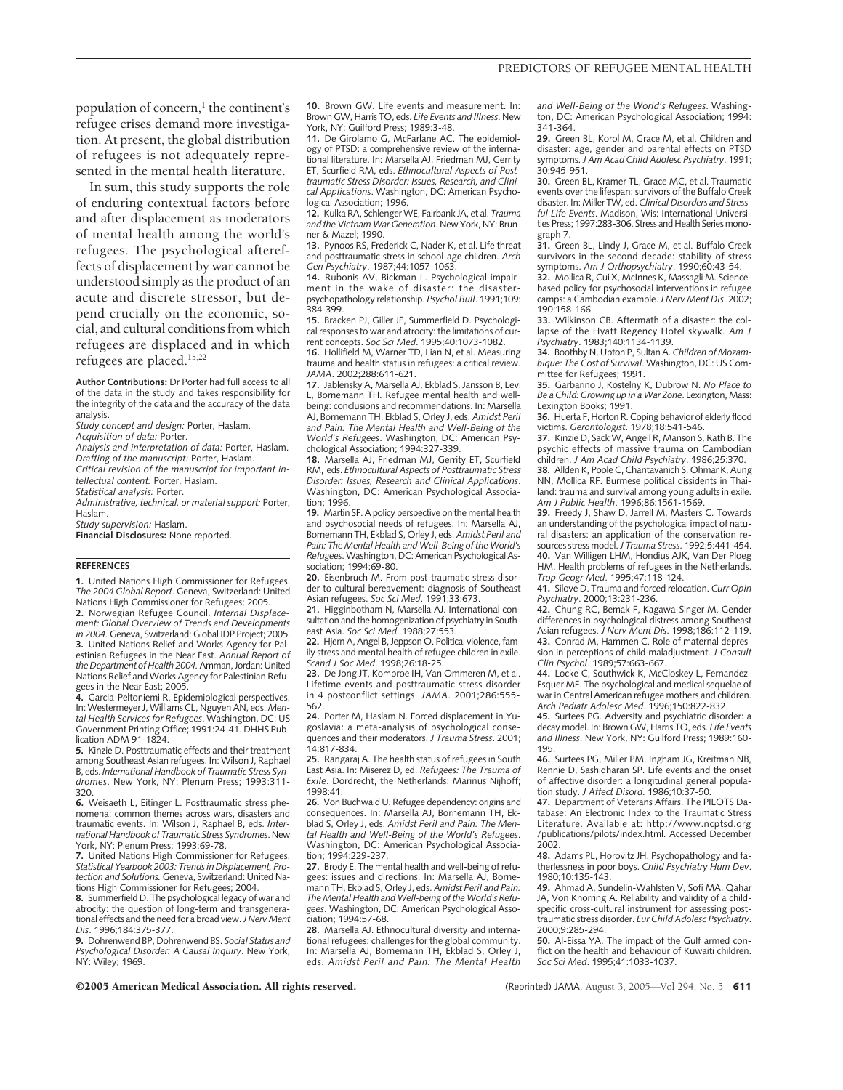population of concern, $<sup>1</sup>$  the continent's</sup> refugee crises demand more investigation. At present, the global distribution of refugees is not adequately represented in the mental health literature.

In sum, this study supports the role of enduring contextual factors before and after displacement as moderators of mental health among the world's refugees. The psychological aftereffects of displacement by war cannot be understood simply as the product of an acute and discrete stressor, but depend crucially on the economic, social, and cultural conditions from which refugees are displaced and in which refugees are placed.15,22

**Author Contributions:** Dr Porter had full access to all of the data in the study and takes responsibility for the integrity of the data and the accuracy of the data analysis.

*Study concept and design:* Porter, Haslam.

*Acquisition of data:* Porter.

*Analysis and interpretation of data:* Porter, Haslam. *Drafting of the manuscript:* Porter, Haslam.

*Critical revision of the manuscript for important intellectual content:* Porter, Haslam.

*Statistical analysis:* Porter.

*Administrative, technical, or material support:* Porter, Haslam.

*Study supervision:* Haslam.

**Financial Disclosures:** None reported.

#### **REFERENCES**

**1.** United Nations High Commissioner for Refugees. *The 2004 Global Report*. Geneva, Switzerland: United Nations High Commissioner for Refugees; 2005.

**2.** Norwegian Refugee Council. *Internal Displacement: Global Overview of Trends and Developments in 2004.* Geneva, Switzerland: Global IDP Project; 2005. **3.** United Nations Relief and Works Agency for Palestinian Refugees in the Near East. *Annual Report of the Department of Health 2004.*Amman, Jordan: United Nations Relief and Works Agency for Palestinian Refu-

gees in the Near East; 2005. **4.** Garcia-Peltoniemi R. Epidemiological perspectives. In: Westermeyer J, Williams CL, Nguyen AN, eds. *Mental Health Services for Refugees*. Washington, DC: US Government Printing Office; 1991:24-41. DHHS Publication ADM 91-1824.

**5.** Kinzie D. Posttraumatic effects and their treatment among Southeast Asian refugees. In: Wilson J, Raphael B, eds. *International Handbook of Traumatic Stress Syndromes*. New York, NY: Plenum Press; 1993:311- 320.

**6.** Weisaeth L, Eitinger L. Posttraumatic stress phenomena: common themes across wars, disasters and traumatic events. In: Wilson J, Raphael B, eds. *International Handbook of Traumatic Stress Syndromes*. New York, NY: Plenum Press; 1993:69-78.

**7.** United Nations High Commissioner for Refugees. *Statistical Yearbook 2003: Trends in Displacement, Protection and Solutions.* Geneva, Switzerland: United Nations High Commissioner for Refugees; 2004.

**8.** Summerfield D. The psychological legacy of war and atrocity: the question of long-term and transgenerational effects and the need for a broad view. *J Nerv Ment Dis*. 1996;184:375-377.

**9.** Dohrenwend BP, Dohrenwend BS. *Social Status and Psychological Disorder: A Causal Inquiry*. New York, NY: Wiley; 1969.

**10.** Brown GW. Life events and measurement. In: Brown GW, Harris TO, eds. *Life Events and Illness*. New York, NY: Guilford Press; 1989:3-48.

**11.** De Girolamo G, McFarlane AC. The epidemiology of PTSD: a comprehensive review of the international literature. In: Marsella AJ, Friedman MJ, Gerrity ET, Scurfield RM, eds. *Ethnocultural Aspects of Posttraumatic Stress Disorder: Issues, Research, and Clinical Applications*. Washington, DC: American Psychological Association; 1996.

**12.** Kulka RA, Schlenger WE, Fairbank JA, et al. *Trauma and the VietnamWar Generation*. New York, NY: Brunner & Mazel; 1990.

**13.** Pynoos RS, Frederick C, Nader K, et al. Life threat and posttraumatic stress in school-age children. *Arch Gen Psychiatry*. 1987;44:1057-1063.

**14.** Rubonis AV, Bickman L. Psychological impairment in the wake of disaster: the disasterpsychopathology relationship. *Psychol Bull*. 1991;109: 384-399.

**15.** Bracken PJ, Giller JE, Summerfield D. Psychological responses to war and atrocity: the limitations of current concepts. *Soc Sci Med*. 1995;40:1073-1082.

**16.** Hollifield M, Warner TD, Lian N, et al. Measuring trauma and health status in refugees: a critical review. *JAMA*. 2002;288:611-621.

**17.** Jablensky A, Marsella AJ, Ekblad S, Jansson B, Levi L, Bornemann TH. Refugee mental health and wellbeing: conclusions and recommendations. In: Marsella AJ, Bornemann TH, Ekblad S, Orley J, eds. *Amidst Peril and Pain: The Mental Health and Well-Being of the World's Refugees*. Washington, DC: American Psychological Association; 1994:327-339.

**18.** Marsella AJ, Friedman MJ, Gerrity ET, Scurfield RM, eds. *Ethnocultural Aspects of Posttraumatic Stress Disorder: Issues, Research and Clinical Applications*. Washington, DC: American Psychological Association; 1996.

**19.** Martin SF. A policy perspective on the mental health and psychosocial needs of refugees. In: Marsella AJ, Bornemann TH, Ekblad S, Orley J, eds. *Amidst Peril and* Pain: The Mental Health and Well-Being of the World's *Refugees*. Washington, DC: American Psychological Association; 1994:69-80.

**20.** Eisenbruch M. From post-traumatic stress disorder to cultural bereavement: diagnosis of Southeast Asian refugees. *Soc Sci Med*. 1991;33:673.

**21.** Higginbotham N, Marsella AJ. International consultation and the homogenization of psychiatry in Southeast Asia. *Soc Sci Med*. 1988;27:553.

**22.** Hjern A, Angel B, Jeppson O. Political violence, family stress and mental health of refugee children in exile. *Scand J Soc Med*. 1998;26:18-25.

**23.** De Jong JT, Komproe IH, Van Ommeren M, et al. Lifetime events and posttraumatic stress disorder in 4 postconflict settings. *JAMA*. 2001;286:555- 562.

**24.** Porter M, Haslam N. Forced displacement in Yugoslavia: a meta-analysis of psychological conse-quences and their moderators. *J Trauma Stress*. 2001; 14:817-834.

**25.** Rangaraj A. The health status of refugees in South East Asia. In: Miserez D, ed. *Refugees: The Trauma of Exile*. Dordrecht, the Netherlands: Marinus Nijhoff; 1998:41.

**26.** Von Buchwald U. Refugee dependency: origins and consequences. In: Marsella AJ, Bornemann TH, Ekblad S, Orley J, eds. *Amidst Peril and Pain: The Mental Health and Well-Being of the World's Refugees*. Washington, DC: American Psychological Association; 1994:229-237.

**27.** Brody E. The mental health and well-being of refugees: issues and directions. In: Marsella AJ, Bornemann TH, Ekblad S, Orley J, eds. *Amidst Peril and Pain:* The Mental Health and Well-being of the World's Refu*gees*. Washington, DC: American Psychological Association; 1994:57-68.

**28.** Marsella AJ. Ethnocultural diversity and international refugees: challenges for the global community. In: Marsella AJ, Bornemann TH, Ekblad S, Orley eds. *Amidst Peril and Pain: The Mental Health* *and Well-Being of the World's Refugees*. Washington, DC: American Psychological Association; 1994: 341-364.

**29.** Green BL, Korol M, Grace M, et al. Children and disaster: age, gender and parental effects on PTSD symptoms.*J Am Acad Child Adolesc Psychiatry*. 1991; 30:945-951.

**30.** Green BL, Kramer TL, Grace MC, et al. Traumatic events over the lifespan: survivors of the Buffalo Creek disaster. In: Miller TW, ed.*Clinical Disorders and Stressful Life Events*. Madison, Wis: International Universities Press; 1997:283-306. Stress and Health Series monograph 7.

**31.** Green BL, Lindy J, Grace M, et al. Buffalo Creek survivors in the second decade: stability of stress symptoms. *Am J Orthopsychiatry*. 1990;60:43-54.

**32.** Mollica R, Cui X, McInnes K, Massagli M. Sciencebased policy for psychosocial interventions in refugee camps: a Cambodian example.*J Nerv Ment Dis*. 2002; 190:158-166.

**33.** Wilkinson CB. Aftermath of a disaster: the collapse of the Hyatt Regency Hotel skywalk. *Am J Psychiatry*. 1983;140:1134-1139.

**34.** Boothby N, Upton P, Sultan A.*Children of Mozambique: The Cost of Survival*. Washington, DC: US Committee for Refugees; 1991.

**35.** Garbarino J, Kostelny K, Dubrow N. *No Place to Be a Child: Growing up in aWar Zone*. Lexington, Mass: Lexington Books; 1991.

**36.** Huerta F, Horton R. Coping behavior of elderly flood victims. *Gerontologist*. 1978;18:541-546.

**37.** Kinzie D, Sack W, Angell R, Manson S, Rath B. The psychic effects of massive trauma on Cambodian children. *J Am Acad Child Psychiatry*. 1986;25:370. **38.** Allden K, Poole C, Chantavanich S, Ohmar K, Aung

NN, Mollica RF. Burmese political dissidents in Thailand: trauma and survival among young adults in exile. *Am J Public Health*. 1996;86:1561-1569.

**39.** Freedy J, Shaw D, Jarrell M, Masters C. Towards an understanding of the psychological impact of natural disasters: an application of the conservation resources stress model.*J Trauma Stress*. 1992;5:441-454. **40.** Van Willigen LHM, Hondius AJK, Van Der Ploeg HM. Health problems of refugees in the Netherlands. *Trop Geogr Med*. 1995;47:118-124.

**41.** Silove D. Trauma and forced relocation. *Curr Opin Psychiatry*. 2000;13:231-236.

**42.** Chung RC, Bemak F, Kagawa-Singer M. Gender differences in psychological distress among Southeast Asian refugees. *J Nerv Ment Dis*. 1998;186:112-119. **43.** Conrad M, Hammen C. Role of maternal depression in perceptions of child maladjustment. *J Consult Clin Psychol*. 1989;57:663-667.

**44.** Locke C, Southwick K, McCloskey L, Fernandez-Esquer ME. The psychological and medical sequelae of war in Central American refugee mothers and children. *Arch Pediatr Adolesc Med*. 1996;150:822-832.

**45.** Surtees PG. Adversity and psychiatric disorder: a decay model. In: Brown GW, Harris TO, eds. *Life Events and Illness*. New York, NY: Guilford Press; 1989:160- 195.

**46.** Surtees PG, Miller PM, Ingham JG, Kreitman NB, Rennie D, Sashidharan SP. Life events and the onset of affective disorder: a longitudinal general population study. *J Affect Disord*. 1986;10:37-50.

**47.** Department of Veterans Affairs. The PILOTS Database: An Electronic Index to the Traumatic Stress Literature. Available at: http://www.ncptsd.org /publications/pilots/index.html. Accessed December 2002.

**48.** Adams PL, Horovitz JH. Psychopathology and fatherlessness in poor boys. *Child Psychiatry Hum Dev*. 1980;10:135-143.

**49.** Ahmad A, Sundelin-Wahlsten V, Sofi MA, Qahar JA, Von Knorring A. Reliability and validity of a child-specific cross-cultural instrument for assessing posttraumatic stress disorder. *Eur Child Adolesc Psychiatry*. 2000;9:285-294.

**50.** Al-Eissa YA. The impact of the Gulf armed conflict on the health and behaviour of Kuwaiti children. *Soc Sci Med*. 1995;41:1033-1037.